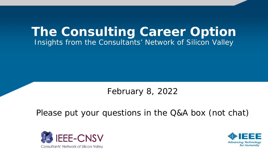# **The Consulting Career Option** Insights from the Consultants' Network of Silicon Valley

## February 8, 2022

## Please put your questions in the Q&A box (not chat)



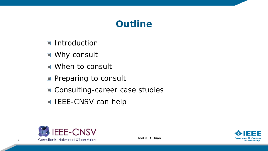# **Outline**

- **Introduction**
- Why consult
- When to consult
- **Preparing to consult**
- Consulting-career case studies
- **IEEE-CNSV can help**



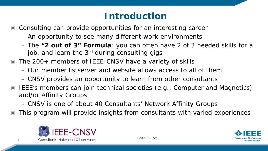# **Introduction**

- Consulting can provide opportunities for an interesting career
	- An opportunity to see many different work environments
	- The **"2 out of 3" Formula**: you can often have 2 of 3 needed skills for a job, and learn the 3<sup>rd</sup> during consulting gigs
- The 200+ members of IEEE-CNSV have a variety of skills
	- Our member listserver and website allows access to all of them
	- CNSV provides an opportunity to learn from other consultants
- IEEE's members can join technical societies (e.g., Computer and Magnetics) and/or Affinity Groups
	- CNSV is one of about 40 Consultants' Network Affinity Groups
- *This program will provide insights from consultants with varied experiences*  $\Box$



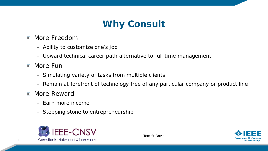# **Why Consult**

- More Freedom  $\Box$ 
	- Ability to customize one's job
	- Upward technical career path alternative to full time management
- More Fun  $\Box$ 
	- Simulating variety of tasks from multiple clients
	- Remain at forefront of technology free of any particular company or product line
- **Nore Reward** 
	- Earn more income
	- Stepping stone to entrepreneurship



 $Tom \rightarrow David$ 

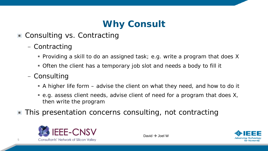# **Why Consult**

- Consulting vs. Contracting
	- Contracting
		- Providing a skill to do an assigned task; e.g. write a program that does X
		- Often the client has a temporary job slot and needs a body to fill it
	- Consulting
		- A higher life form advise the client on what they need, and how to do it
		- e.g. assess client needs, advise client of need for a program that does X, then write the program
- This presentation concerns consulting, not contracting



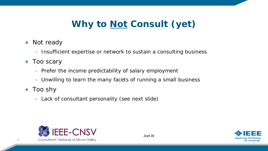# **Why to Not Consult (yet)**

- **Not ready** 
	- Insufficient expertise or network to sustain a consulting business
- **Too scary** 
	- Prefer the income predictability of salary employment
	- Unwilling to learn the many facets of running a small business
- Too shy
	- Lack of consultant personality (see next slide)



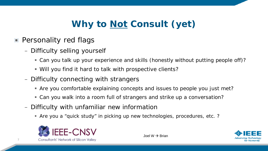# **Why to Not Consult (yet)**

- **Personality red flags** 
	- Difficulty selling yourself
		- Can you talk up your experience and skills (honestly without putting people off)?
		- Will you find it hard to talk with prospective clients?
	- Difficulty connecting with strangers
		- Are you comfortable explaining concepts and issues to people you just met?
		- Can you walk into a room full of strangers and strike up a conversation?
	- Difficulty with unfamiliar new information
		- Are you a "quick study" in picking up new technologies, procedures, etc. ?



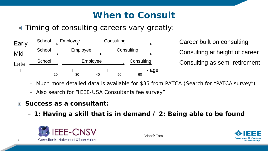# **When to Consult**

## ■ Timing of consulting careers vary greatly:



Career built on consulting Consulting at height of career Consulting as semi-retirement

- Much more detailed data is available for \$35 from PATCA (Search for "PATCA survey")
- Also search for "IEEE-USA Consultants fee survey"
- *Success as a consultant:*  $\Box$ 
	- *1: Having a skill that is in demand / 2: Being able to be found*



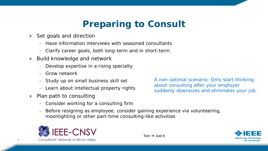# **Preparing to Consult**

- Set goals and direction  $\blacksquare$ 
	- Have information interviews with seasoned consultants
	- Clarify career goals, both long-term and in short-term
- Build knowledge and network  $\Box$ 
	- Develop expertise in a rising specialty
	- Grow network
	- Study up on small business skill set
	- Learn about intellectual property rights
- Plan path to consulting  $\Box$ 
	- Consider working for a consulting firm

A non-optimal scenario: Only start thinking about consulting after your employer suddenly downsizes and eliminates your job.

– Before resigning as employee, consider gaining experience via volunteering, moonlighting or other part-time consulting-like activities





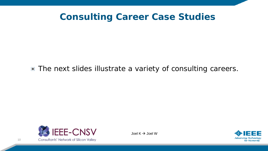## **Consulting Career Case Studies**

### ■ The next slides illustrate a variety of consulting careers.



Joel  $K \rightarrow$  Joel W

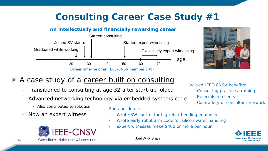#### *An intellectually and financially rewarding career*





*Valued IEEE-CNSV benefits:*

• *Referrals to clients*

• *Consulting practices training*

• *Comradery of consultant network*

### ■ A case study of a career built on consulting

- Transitioned to consulting at age 32 after start-up folded
- Advanced networking technology via embedded systems code
	- **Also contributed to robotics**
- Now an expert witness



#### *Fun anecdotes:*

- *Wrote SW control for big rebar bending equipment*
- *Wrote early robot arm code for silicon wafer handling*
- *expert witnesses make \$400 or more per hour*



Joel W  $\rightarrow$  Brian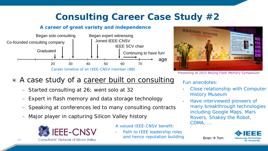*and hence reputation building*

#### *A career of great variety and independence*





*Presenting at 2015 Beijing Flash Memory Symposium*

## ■ A case study of a career built on consulting

- Started consulting at 26; went solo at 32
- Expert in flash memory and data storage technology
- Speaking at conferences led to many consulting contracts
- Major player in capturing Silicon Valley history



*A valued IEEE-CNSV benefit:* • *Path to IEEE leadership roles* 

#### *Fun anecdotes:*

- *Close relationship with Computer History Museum*
- *Have interviewed pioneers of many breakthrough technologies including Google Maps, Mars Rovers, Shakey the Robot, CDMA, …*



Brian  $\rightarrow$  Tom

Consultants' Network of Silicon Valley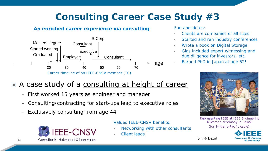#### *An enriched career experience via consulting*



#### *Fun anecdotes:*

- *Clients are companies of all sizes*
- *Started and ran industry conferences*
- *Wrote a book on Digital Storage*
- *Gigs included expert witnessing and due diligence for investors, etc.*
- *Earned PhD in Japan at age 52!*

Tom  $\rightarrow$  David



#### *Representing IEEE at IEEE Engineering Milestone ceremony in Hawaii (for 1st trans-Pacific cable).*



### A case study of a consulting at height of career

- First worked 15 years as engineer and manager
- Consulting/contracting for start-ups lead to executive roles
- Exclusively consulting from age 44



*Valued IEEE-CNSV benefits:*

- *Networking with other consultants*
- *Client leads*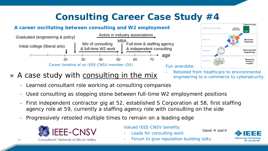#### *A career oscillating between consulting and W2 employment*





## A case study with consulting in the mix

• *Retooled from healthcare to environmental engineering to e-commerce to cybersecurity.*

- Learned consultant role working at consulting companies
- Used consulting as stepping stone between full-time W2 employment positions
- First independent contractor gig at 52, established S Corporation at 58, first staffing agency role at 59, currently a staffing agency role with consulting on the side
- Progressively retooled multiple times to remain on a leading edge



*Valued IEEE-CNSV benefits:*

• *Leads for consulting work*

David  $\rightarrow$  Joel K



• *Forum to give reputation-building talks*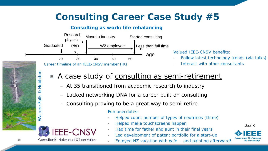#### *Consulting as work/life rebalancing*



*Career timeline of an IEEE-CNSV member (JK)*

*Valued IEEE-CNSV benefits:*

- *Follow latest technology trends (via talks)*
- *Interact with other consultants*

## A case study of consulting as semi-retirement

- At 35 transitioned from academic research to industry
- Lacked networking DNA for a career built on consulting
- Consulting proving to be a great way to semi-retire

*Fun anecdotes:*

- *Helped count number of types of neutrinos (three)*
- *Helped make touchscreens happen*
- *Had time for father and aunt in their final years*
- *Led development of patent portfolio for a start-up*
- *Enjoyed NZ vacation with wife … and painting afterward!*

Joel K

**Advancing Technology** 

for Humanity



**Consultants' Network of Silicon Valley** 

15

*Wairere Falls & Hobbiton*

 $rac{1}{6}$ LТ.

**Wairere** 

 $\infty$ 

Hobbiton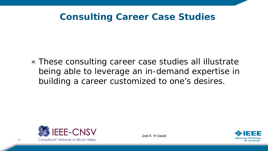## **Consulting Career Case Studies**

■ These consulting career case studies all illustrate being able to leverage an in-demand expertise in building a career customized to one's desires.



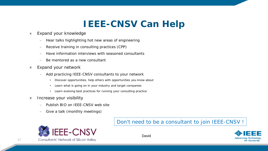# **IEEE-CNSV Can Help**

- Expand your knowledge  $\blacksquare$ 
	- Hear talks highlighting hot new areas of engineering
	- Receive training in consulting practices (CPP)
	- Have information interviews with seasoned consultants
	- Be mentored as a new consultant
- Expand your network  $\Box$ 
	- Add practicing IEEE-CNSV consultants to your network
		- Discover opportunities, help others with opportunities you know about
		- **EXECT** Learn what is going on in your industry and target companies
		- Learn evolving best practices for running your consulting practice
- Increase your visibility  $\Box$ 
	- Publish BIO on IEEE-CNSV web site
	- Give a talk (monthly meetings)



#### Don't need to be a consultant to join IEEE-CNSV !